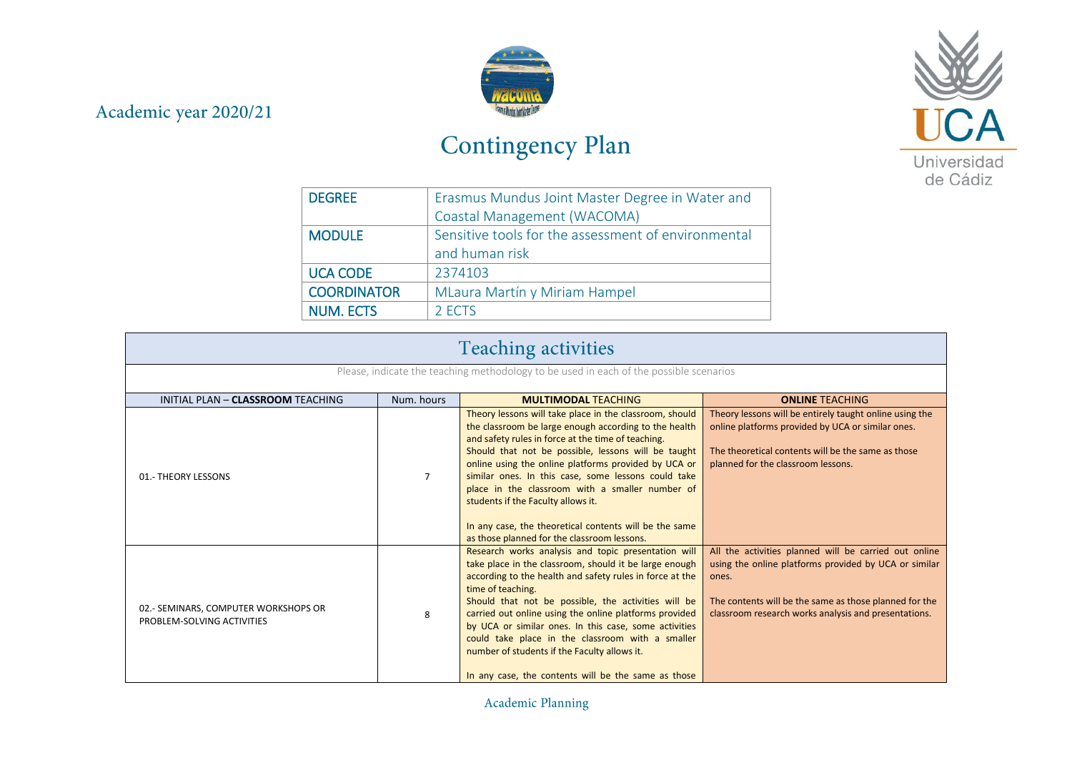## Academic year 2020/21



## Contingency Plan



| <b>DEGREE</b>      | Erasmus Mundus Joint Master Degree in Water and     |
|--------------------|-----------------------------------------------------|
|                    | Coastal Management (WACOMA)                         |
| <b>MODULE</b>      | Sensitive tools for the assessment of environmental |
|                    | and human risk                                      |
| <b>UCA CODE</b>    | 2374103                                             |
| <b>COORDINATOR</b> | MLaura Martín y Miriam Hampel                       |
| <b>NUM. ECTS</b>   | 2 FCTS                                              |

| <b>Teaching activities</b>                                                             |                |                                                                                                                                                                                                                                                                                                                                                                                                                                                                                                                                                |                                                                                                                                                                                                                                           |
|----------------------------------------------------------------------------------------|----------------|------------------------------------------------------------------------------------------------------------------------------------------------------------------------------------------------------------------------------------------------------------------------------------------------------------------------------------------------------------------------------------------------------------------------------------------------------------------------------------------------------------------------------------------------|-------------------------------------------------------------------------------------------------------------------------------------------------------------------------------------------------------------------------------------------|
| Please, indicate the teaching methodology to be used in each of the possible scenarios |                |                                                                                                                                                                                                                                                                                                                                                                                                                                                                                                                                                |                                                                                                                                                                                                                                           |
| INITIAL PLAN - CLASSROOM TEACHING                                                      | Num, hours     | <b>MULTIMODAL TEACHING</b>                                                                                                                                                                                                                                                                                                                                                                                                                                                                                                                     | <b>ONLINE TEACHING</b>                                                                                                                                                                                                                    |
| 01.- THEORY LESSONS                                                                    | $\overline{7}$ | Theory lessons will take place in the classroom, should<br>the classroom be large enough according to the health<br>and safety rules in force at the time of teaching.<br>Should that not be possible, lessons will be taught<br>online using the online platforms provided by UCA or<br>similar ones. In this case, some lessons could take<br>place in the classroom with a smaller number of<br>students if the Faculty allows it.<br>In any case, the theoretical contents will be the same<br>as those planned for the classroom lessons. | Theory lessons will be entirely taught online using the<br>online platforms provided by UCA or similar ones.<br>The theoretical contents will be the same as those<br>planned for the classroom lessons.                                  |
| 02.- SEMINARS, COMPUTER WORKSHOPS OR<br>PROBLEM-SOLVING ACTIVITIES                     | 8              | Research works analysis and topic presentation will<br>take place in the classroom, should it be large enough<br>according to the health and safety rules in force at the<br>time of teaching.<br>Should that not be possible, the activities will be<br>carried out online using the online platforms provided<br>by UCA or similar ones. In this case, some activities<br>could take place in the classroom with a smaller<br>number of students if the Faculty allows it.<br>In any case, the contents will be the same as those            | All the activities planned will be carried out online<br>using the online platforms provided by UCA or similar<br>ones.<br>The contents will be the same as those planned for the<br>classroom research works analysis and presentations. |

Academic Planning